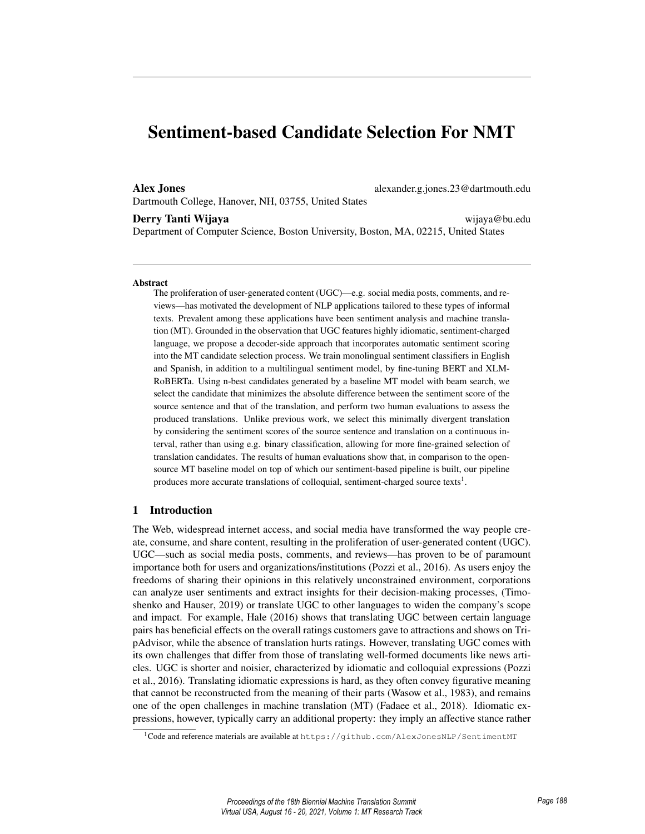# Sentiment-based Candidate Selection For NMT

Dartmouth College, Hanover, NH, 03755, United States

Alex Jones alexander.g.jones.23@dartmouth.edu

Derry Tanti Wijaya wijaya@bu.edu Department of Computer Science, Boston University, Boston, MA, 02215, United States

### Abstract

The proliferation of user-generated content (UGC)—e.g. social media posts, comments, and reviews—has motivated the development of NLP applications tailored to these types of informal texts. Prevalent among these applications have been sentiment analysis and machine translation (MT). Grounded in the observation that UGC features highly idiomatic, sentiment-charged language, we propose a decoder-side approach that incorporates automatic sentiment scoring into the MT candidate selection process. We train monolingual sentiment classifiers in English and Spanish, in addition to a multilingual sentiment model, by fine-tuning BERT and XLM-RoBERTa. Using n-best candidates generated by a baseline MT model with beam search, we select the candidate that minimizes the absolute difference between the sentiment score of the source sentence and that of the translation, and perform two human evaluations to assess the produced translations. Unlike previous work, we select this minimally divergent translation by considering the sentiment scores of the source sentence and translation on a continuous interval, rather than using e.g. binary classification, allowing for more fine-grained selection of translation candidates. The results of human evaluations show that, in comparison to the opensource MT baseline model on top of which our sentiment-based pipeline is built, our pipeline produces more accurate translations of colloquial, sentiment-charged source texts<sup>1</sup>.

## 1 Introduction

The Web, widespread internet access, and social media have transformed the way people create, consume, and share content, resulting in the proliferation of user-generated content (UGC). UGC—such as social media posts, comments, and reviews—has proven to be of paramount importance both for users and organizations/institutions (Pozzi et al., 2016). As users enjoy the freedoms of sharing their opinions in this relatively unconstrained environment, corporations can analyze user sentiments and extract insights for their decision-making processes, (Timoshenko and Hauser, 2019) or translate UGC to other languages to widen the company's scope and impact. For example, Hale (2016) shows that translating UGC between certain language pairs has beneficial effects on the overall ratings customers gave to attractions and shows on TripAdvisor, while the absence of translation hurts ratings. However, translating UGC comes with its own challenges that differ from those of translating well-formed documents like news articles. UGC is shorter and noisier, characterized by idiomatic and colloquial expressions (Pozzi et al., 2016). Translating idiomatic expressions is hard, as they often convey figurative meaning that cannot be reconstructed from the meaning of their parts (Wasow et al., 1983), and remains one of the open challenges in machine translation (MT) (Fadaee et al., 2018). Idiomatic expressions, however, typically carry an additional property: they imply an affective stance rather

<sup>1</sup>Code and reference materials are available at https://github.com/AlexJonesNLP/SentimentMT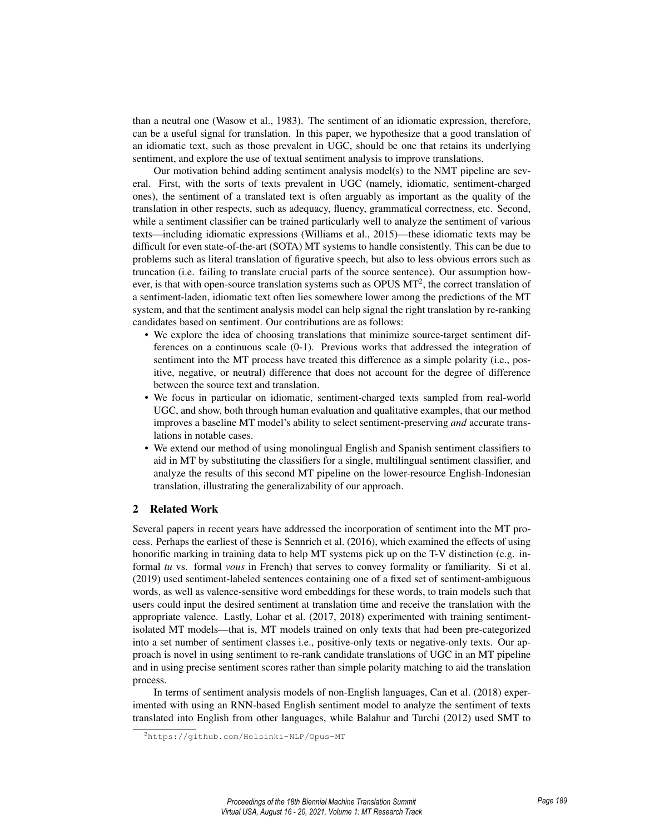than a neutral one (Wasow et al., 1983). The sentiment of an idiomatic expression, therefore, can be a useful signal for translation. In this paper, we hypothesize that a good translation of an idiomatic text, such as those prevalent in UGC, should be one that retains its underlying sentiment, and explore the use of textual sentiment analysis to improve translations.

Our motivation behind adding sentiment analysis model(s) to the NMT pipeline are several. First, with the sorts of texts prevalent in UGC (namely, idiomatic, sentiment-charged ones), the sentiment of a translated text is often arguably as important as the quality of the translation in other respects, such as adequacy, fluency, grammatical correctness, etc. Second, while a sentiment classifier can be trained particularly well to analyze the sentiment of various texts—including idiomatic expressions (Williams et al., 2015)—these idiomatic texts may be difficult for even state-of-the-art (SOTA) MT systems to handle consistently. This can be due to problems such as literal translation of figurative speech, but also to less obvious errors such as truncation (i.e. failing to translate crucial parts of the source sentence). Our assumption however, is that with open-source translation systems such as OPUS  $MT^2$ , the correct translation of a sentiment-laden, idiomatic text often lies somewhere lower among the predictions of the MT system, and that the sentiment analysis model can help signal the right translation by re-ranking candidates based on sentiment. Our contributions are as follows:

- We explore the idea of choosing translations that minimize source-target sentiment differences on a continuous scale (0-1). Previous works that addressed the integration of sentiment into the MT process have treated this difference as a simple polarity (i.e., positive, negative, or neutral) difference that does not account for the degree of difference between the source text and translation.
- We focus in particular on idiomatic, sentiment-charged texts sampled from real-world UGC, and show, both through human evaluation and qualitative examples, that our method improves a baseline MT model's ability to select sentiment-preserving *and* accurate translations in notable cases.
- We extend our method of using monolingual English and Spanish sentiment classifiers to aid in MT by substituting the classifiers for a single, multilingual sentiment classifier, and analyze the results of this second MT pipeline on the lower-resource English-Indonesian translation, illustrating the generalizability of our approach.

# 2 Related Work

Several papers in recent years have addressed the incorporation of sentiment into the MT process. Perhaps the earliest of these is Sennrich et al. (2016), which examined the effects of using honorific marking in training data to help MT systems pick up on the T-V distinction (e.g. informal *tu* vs. formal *vous* in French) that serves to convey formality or familiarity. Si et al. (2019) used sentiment-labeled sentences containing one of a fixed set of sentiment-ambiguous words, as well as valence-sensitive word embeddings for these words, to train models such that users could input the desired sentiment at translation time and receive the translation with the appropriate valence. Lastly, Lohar et al. (2017, 2018) experimented with training sentimentisolated MT models—that is, MT models trained on only texts that had been pre-categorized into a set number of sentiment classes i.e., positive-only texts or negative-only texts. Our approach is novel in using sentiment to re-rank candidate translations of UGC in an MT pipeline and in using precise sentiment scores rather than simple polarity matching to aid the translation process.

In terms of sentiment analysis models of non-English languages, Can et al. (2018) experimented with using an RNN-based English sentiment model to analyze the sentiment of texts translated into English from other languages, while Balahur and Turchi (2012) used SMT to

<sup>2</sup>https://github.com/Helsinki-NLP/Opus-MT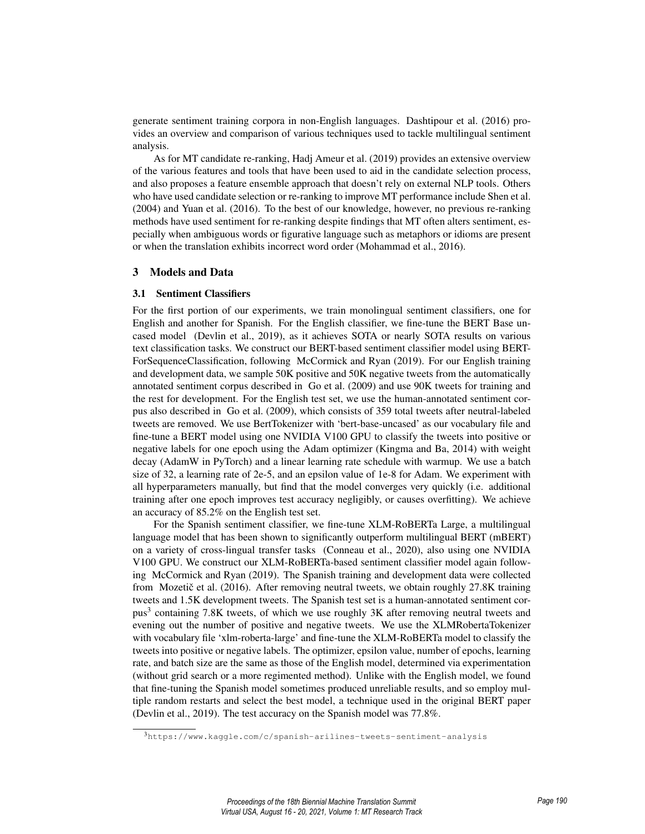generate sentiment training corpora in non-English languages. Dashtipour et al. (2016) provides an overview and comparison of various techniques used to tackle multilingual sentiment analysis.

As for MT candidate re-ranking, Hadj Ameur et al. (2019) provides an extensive overview of the various features and tools that have been used to aid in the candidate selection process, and also proposes a feature ensemble approach that doesn't rely on external NLP tools. Others who have used candidate selection or re-ranking to improve MT performance include Shen et al. (2004) and Yuan et al. (2016). To the best of our knowledge, however, no previous re-ranking methods have used sentiment for re-ranking despite findings that MT often alters sentiment, especially when ambiguous words or figurative language such as metaphors or idioms are present or when the translation exhibits incorrect word order (Mohammad et al., 2016).

## 3 Models and Data

## 3.1 Sentiment Classifiers

For the first portion of our experiments, we train monolingual sentiment classifiers, one for English and another for Spanish. For the English classifier, we fine-tune the BERT Base uncased model (Devlin et al., 2019), as it achieves SOTA or nearly SOTA results on various text classification tasks. We construct our BERT-based sentiment classifier model using BERT-ForSequenceClassification, following McCormick and Ryan (2019). For our English training and development data, we sample 50K positive and 50K negative tweets from the automatically annotated sentiment corpus described in Go et al. (2009) and use 90K tweets for training and the rest for development. For the English test set, we use the human-annotated sentiment corpus also described in Go et al. (2009), which consists of 359 total tweets after neutral-labeled tweets are removed. We use BertTokenizer with 'bert-base-uncased' as our vocabulary file and fine-tune a BERT model using one NVIDIA V100 GPU to classify the tweets into positive or negative labels for one epoch using the Adam optimizer (Kingma and Ba, 2014) with weight decay (AdamW in PyTorch) and a linear learning rate schedule with warmup. We use a batch size of 32, a learning rate of 2e-5, and an epsilon value of 1e-8 for Adam. We experiment with all hyperparameters manually, but find that the model converges very quickly (i.e. additional training after one epoch improves test accuracy negligibly, or causes overfitting). We achieve an accuracy of 85.2% on the English test set.

For the Spanish sentiment classifier, we fine-tune XLM-RoBERTa Large, a multilingual language model that has been shown to significantly outperform multilingual BERT (mBERT) on a variety of cross-lingual transfer tasks (Conneau et al., 2020), also using one NVIDIA V100 GPU. We construct our XLM-RoBERTa-based sentiment classifier model again following McCormick and Ryan (2019). The Spanish training and development data were collected from Mozetič et al.  $(2016)$ . After removing neutral tweets, we obtain roughly 27.8K training tweets and 1.5K development tweets. The Spanish test set is a human-annotated sentiment corpus<sup>3</sup> containing 7.8K tweets, of which we use roughly 3K after removing neutral tweets and evening out the number of positive and negative tweets. We use the XLMRobertaTokenizer with vocabulary file 'xlm-roberta-large' and fine-tune the XLM-RoBERTa model to classify the tweets into positive or negative labels. The optimizer, epsilon value, number of epochs, learning rate, and batch size are the same as those of the English model, determined via experimentation (without grid search or a more regimented method). Unlike with the English model, we found that fine-tuning the Spanish model sometimes produced unreliable results, and so employ multiple random restarts and select the best model, a technique used in the original BERT paper (Devlin et al., 2019). The test accuracy on the Spanish model was 77.8%.

<sup>3</sup>https://www.kaggle.com/c/spanish-arilines-tweets-sentiment-analysis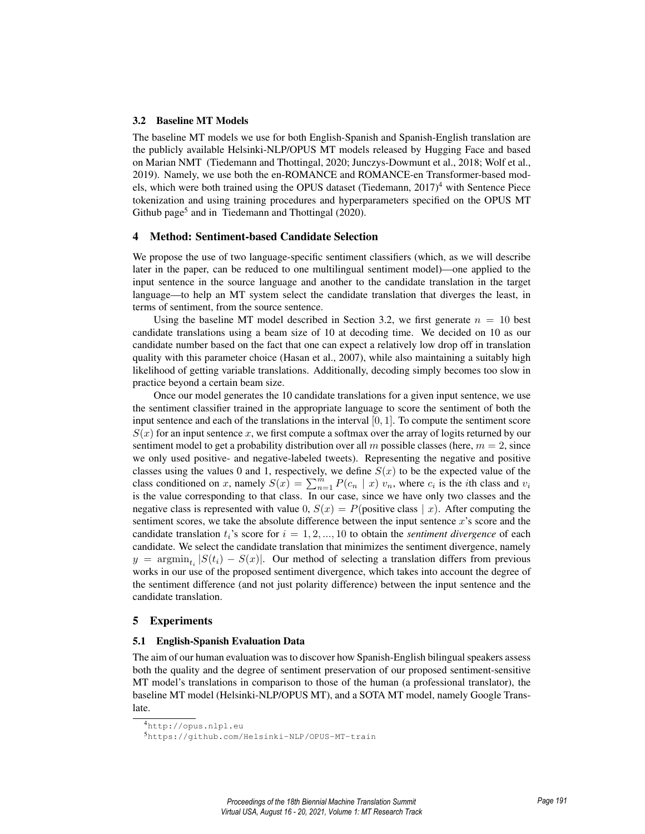## 3.2 Baseline MT Models

The baseline MT models we use for both English-Spanish and Spanish-English translation are the publicly available Helsinki-NLP/OPUS MT models released by Hugging Face and based on Marian NMT (Tiedemann and Thottingal, 2020; Junczys-Dowmunt et al., 2018; Wolf et al., 2019). Namely, we use both the en-ROMANCE and ROMANCE-en Transformer-based models, which were both trained using the OPUS dataset (Tiedemann,  $2017)^4$  with Sentence Piece tokenization and using training procedures and hyperparameters specified on the OPUS MT Github page<sup>5</sup> and in Tiedemann and Thottingal (2020).

#### 4 Method: Sentiment-based Candidate Selection

We propose the use of two language-specific sentiment classifiers (which, as we will describe later in the paper, can be reduced to one multilingual sentiment model)—one applied to the input sentence in the source language and another to the candidate translation in the target language—to help an MT system select the candidate translation that diverges the least, in terms of sentiment, from the source sentence.

Using the baseline MT model described in Section 3.2, we first generate  $n = 10$  best candidate translations using a beam size of 10 at decoding time. We decided on 10 as our candidate number based on the fact that one can expect a relatively low drop off in translation quality with this parameter choice (Hasan et al., 2007), while also maintaining a suitably high likelihood of getting variable translations. Additionally, decoding simply becomes too slow in practice beyond a certain beam size.

Once our model generates the 10 candidate translations for a given input sentence, we use the sentiment classifier trained in the appropriate language to score the sentiment of both the input sentence and each of the translations in the interval  $[0, 1]$ . To compute the sentiment score  $S(x)$  for an input sentence x, we first compute a softmax over the array of logits returned by our sentiment model to get a probability distribution over all m possible classes (here,  $m = 2$ , since we only used positive- and negative-labeled tweets). Representing the negative and positive classes using the values 0 and 1, respectively, we define  $S(x)$  to be the expected value of the class conditioned on x, namely  $S(x) = \sum_{n=1}^{m} P(c_n | x) v_n$ , where  $c_i$  is the *i*th class and  $v_i$ is the value corresponding to that class. In our case, since we have only two classes and the negative class is represented with value 0,  $S(x) = P(\text{positive class} \mid x)$ . After computing the sentiment scores, we take the absolute difference between the input sentence  $x$ 's score and the candidate translation  $t_i$ 's score for  $i = 1, 2, ..., 10$  to obtain the *sentiment divergence* of each candidate. We select the candidate translation that minimizes the sentiment divergence, namely  $y = \operatorname{argmin}_{t_i} |S(t_i) - S(x)|$ . Our method of selecting a translation differs from previous works in our use of the proposed sentiment divergence, which takes into account the degree of the sentiment difference (and not just polarity difference) between the input sentence and the candidate translation.

#### 5 Experiments

## 5.1 English-Spanish Evaluation Data

The aim of our human evaluation was to discover how Spanish-English bilingual speakers assess both the quality and the degree of sentiment preservation of our proposed sentiment-sensitive MT model's translations in comparison to those of the human (a professional translator), the baseline MT model (Helsinki-NLP/OPUS MT), and a SOTA MT model, namely Google Translate.

<sup>4</sup>http://opus.nlpl.eu

<sup>5</sup>https://github.com/Helsinki-NLP/OPUS-MT-train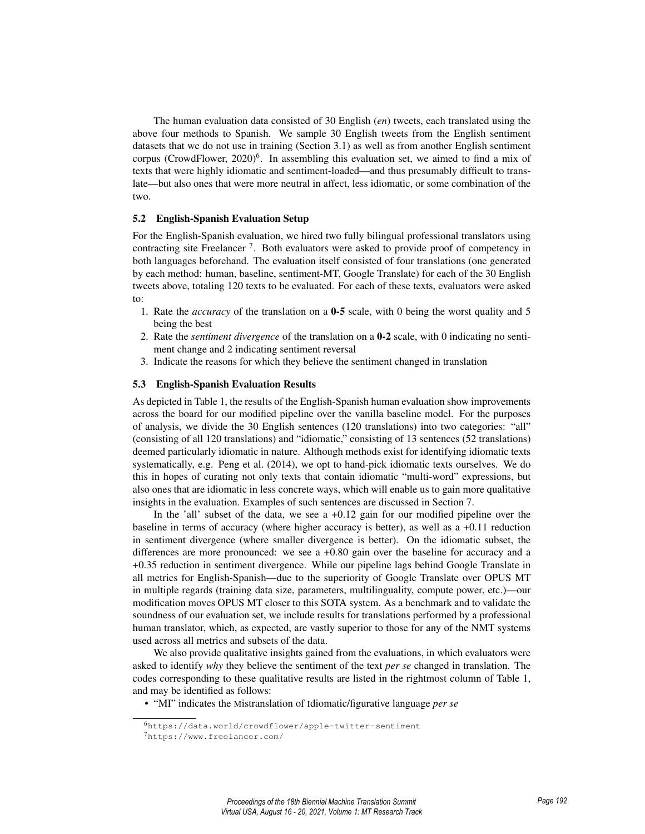The human evaluation data consisted of 30 English (*en*) tweets, each translated using the above four methods to Spanish. We sample 30 English tweets from the English sentiment datasets that we do not use in training (Section 3.1) as well as from another English sentiment corpus (CrowdFlower, 2020)<sup>6</sup>. In assembling this evaluation set, we aimed to find a mix of texts that were highly idiomatic and sentiment-loaded—and thus presumably difficult to translate—but also ones that were more neutral in affect, less idiomatic, or some combination of the two.

## 5.2 English-Spanish Evaluation Setup

For the English-Spanish evaluation, we hired two fully bilingual professional translators using contracting site Freelancer<sup>7</sup>. Both evaluators were asked to provide proof of competency in both languages beforehand. The evaluation itself consisted of four translations (one generated by each method: human, baseline, sentiment-MT, Google Translate) for each of the 30 English tweets above, totaling 120 texts to be evaluated. For each of these texts, evaluators were asked to:

- 1. Rate the *accuracy* of the translation on a 0-5 scale, with 0 being the worst quality and 5 being the best
- 2. Rate the *sentiment divergence* of the translation on a 0-2 scale, with 0 indicating no sentiment change and 2 indicating sentiment reversal
- 3. Indicate the reasons for which they believe the sentiment changed in translation

## 5.3 English-Spanish Evaluation Results

As depicted in Table 1, the results of the English-Spanish human evaluation show improvements across the board for our modified pipeline over the vanilla baseline model. For the purposes of analysis, we divide the 30 English sentences (120 translations) into two categories: "all" (consisting of all 120 translations) and "idiomatic," consisting of 13 sentences (52 translations) deemed particularly idiomatic in nature. Although methods exist for identifying idiomatic texts systematically, e.g. Peng et al. (2014), we opt to hand-pick idiomatic texts ourselves. We do this in hopes of curating not only texts that contain idiomatic "multi-word" expressions, but also ones that are idiomatic in less concrete ways, which will enable us to gain more qualitative insights in the evaluation. Examples of such sentences are discussed in Section 7.

In the 'all' subset of the data, we see a  $+0.12$  gain for our modified pipeline over the baseline in terms of accuracy (where higher accuracy is better), as well as a +0.11 reduction in sentiment divergence (where smaller divergence is better). On the idiomatic subset, the differences are more pronounced: we see a +0.80 gain over the baseline for accuracy and a +0.35 reduction in sentiment divergence. While our pipeline lags behind Google Translate in all metrics for English-Spanish—due to the superiority of Google Translate over OPUS MT in multiple regards (training data size, parameters, multilinguality, compute power, etc.)—our modification moves OPUS MT closer to this SOTA system. As a benchmark and to validate the soundness of our evaluation set, we include results for translations performed by a professional human translator, which, as expected, are vastly superior to those for any of the NMT systems used across all metrics and subsets of the data.

We also provide qualitative insights gained from the evaluations, in which evaluators were asked to identify *why* they believe the sentiment of the text *per se* changed in translation. The codes corresponding to these qualitative results are listed in the rightmost column of Table 1, and may be identified as follows:

• "MI" indicates the Mistranslation of Idiomatic/figurative language *per se*

<sup>6</sup>https://data.world/crowdflower/apple-twitter-sentiment

<sup>7</sup>https://www.freelancer.com/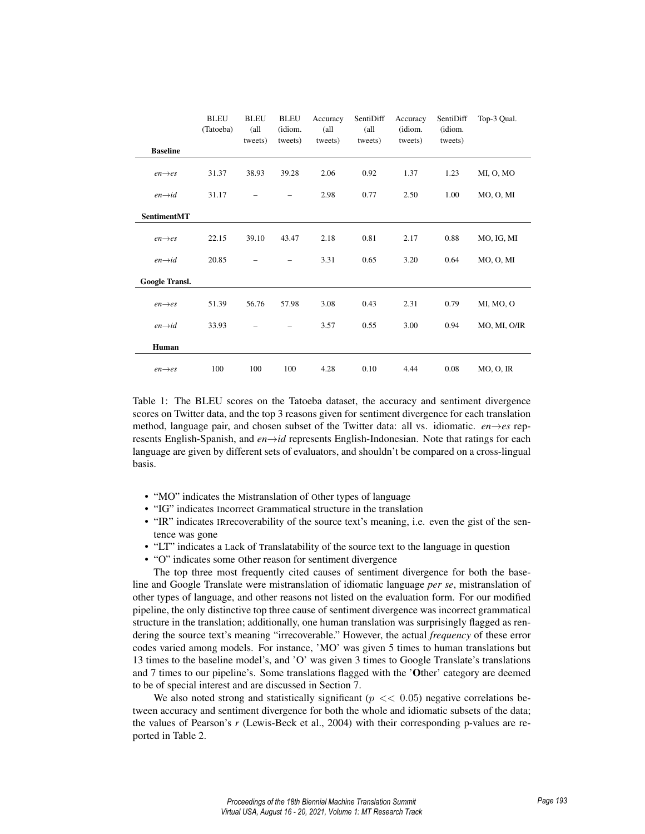|                     | <b>BLEU</b><br>(Tatoeba) | <b>BLEU</b><br>(all<br>tweets) | <b>BLEU</b><br>(idiom.<br>tweets) | Accuracy<br>(all<br>tweets) | SentiDiff<br>(all<br>tweets) | Accuracy<br>(idiom.<br>tweets) | SentiDiff<br>(idiom.<br>tweets) | Top-3 Qual.       |
|---------------------|--------------------------|--------------------------------|-----------------------------------|-----------------------------|------------------------------|--------------------------------|---------------------------------|-------------------|
| <b>Baseline</b>     |                          |                                |                                   |                             |                              |                                |                                 |                   |
| $en \rightarrow es$ | 31.37                    | 38.93                          | 39.28                             | 2.06                        | 0.92                         | 1.37                           | 1.23                            | MI, O, MO         |
| $en \rightarrow id$ | 31.17                    |                                |                                   | 2.98                        | 0.77                         | 2.50                           | 1.00                            | $MO$ , $O$ , $MI$ |
| <b>SentimentMT</b>  |                          |                                |                                   |                             |                              |                                |                                 |                   |
| $en \rightarrow es$ | 22.15                    | 39.10                          | 43.47                             | 2.18                        | 0.81                         | 2.17                           | 0.88                            | MO, IG, MI        |
| $en \rightarrow id$ | 20.85                    |                                |                                   | 3.31                        | 0.65                         | 3.20                           | 0.64                            | $MO$ , $O$ , $MI$ |
| Google Transl.      |                          |                                |                                   |                             |                              |                                |                                 |                   |
| $en \rightarrow es$ | 51.39                    | 56.76                          | 57.98                             | 3.08                        | 0.43                         | 2.31                           | 0.79                            | MI, MO, O         |
| $en \rightarrow id$ | 33.93                    |                                |                                   | 3.57                        | 0.55                         | 3.00                           | 0.94                            | MO, MI, O/IR      |
| Human               |                          |                                |                                   |                             |                              |                                |                                 |                   |
| $en \rightarrow es$ | 100                      | 100                            | 100                               | 4.28                        | 0.10                         | 4.44                           | 0.08                            | $MO$ , $O$ , IR   |

Table 1: The BLEU scores on the Tatoeba dataset, the accuracy and sentiment divergence scores on Twitter data, and the top 3 reasons given for sentiment divergence for each translation method, language pair, and chosen subset of the Twitter data: all vs. idiomatic. *en*→*es* represents English-Spanish, and *en*→*id* represents English-Indonesian. Note that ratings for each language are given by different sets of evaluators, and shouldn't be compared on a cross-lingual basis.

- "MO" indicates the Mistranslation of Other types of language
- "IG" indicates Incorrect Grammatical structure in the translation
- "IR" indicates IRrecoverability of the source text's meaning, i.e. even the gist of the sentence was gone
- "LT" indicates a Lack of Translatability of the source text to the language in question
- "O" indicates some Other reason for sentiment divergence

The top three most frequently cited causes of sentiment divergence for both the baseline and Google Translate were mistranslation of idiomatic language *per se*, mistranslation of other types of language, and other reasons not listed on the evaluation form. For our modified pipeline, the only distinctive top three cause of sentiment divergence was incorrect grammatical structure in the translation; additionally, one human translation was surprisingly flagged as rendering the source text's meaning "irrecoverable." However, the actual *frequency* of these error codes varied among models. For instance, 'MO' was given 5 times to human translations but 13 times to the baseline model's, and 'O' was given 3 times to Google Translate's translations and 7 times to our pipeline's. Some translations flagged with the 'Other' category are deemed to be of special interest and are discussed in Section 7.

We also noted strong and statistically significant ( $p \ll 0.05$ ) negative correlations between accuracy and sentiment divergence for both the whole and idiomatic subsets of the data; the values of Pearson's *r* (Lewis-Beck et al., 2004) with their corresponding p-values are reported in Table 2.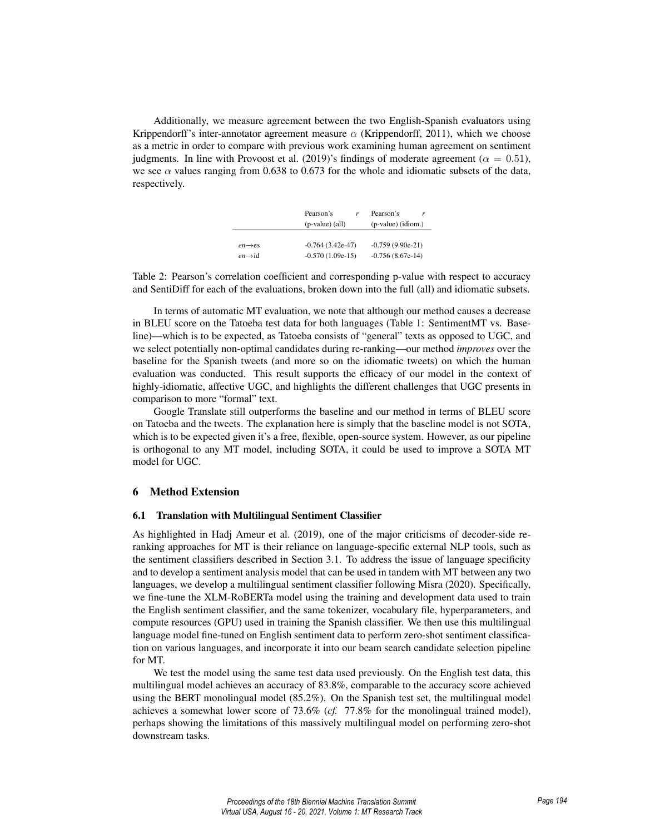Additionally, we measure agreement between the two English-Spanish evaluators using Krippendorff's inter-annotator agreement measure  $\alpha$  (Krippendorff, 2011), which we choose as a metric in order to compare with previous work examining human agreement on sentiment judgments. In line with Provoost et al. (2019)'s findings of moderate agreement ( $\alpha = 0.51$ ), we see  $\alpha$  values ranging from 0.638 to 0.673 for the whole and idiomatic subsets of the data, respectively.

|                     | Pearson's<br>$(p-value)$ (all) | Pearson's<br>r<br>(p-value) (idiom.) |
|---------------------|--------------------------------|--------------------------------------|
| $en \rightarrow es$ | $-0.764(3.42e-47)$             | $-0.759(9.90e-21)$                   |
| $en \rightarrow id$ | $-0.570(1.09e-15)$             | $-0.756(8.67e-14)$                   |

Table 2: Pearson's correlation coefficient and corresponding p-value with respect to accuracy and SentiDiff for each of the evaluations, broken down into the full (all) and idiomatic subsets.

In terms of automatic MT evaluation, we note that although our method causes a decrease in BLEU score on the Tatoeba test data for both languages (Table 1: SentimentMT vs. Baseline)—which is to be expected, as Tatoeba consists of "general" texts as opposed to UGC, and we select potentially non-optimal candidates during re-ranking—our method *improves* over the baseline for the Spanish tweets (and more so on the idiomatic tweets) on which the human evaluation was conducted. This result supports the efficacy of our model in the context of highly-idiomatic, affective UGC, and highlights the different challenges that UGC presents in comparison to more "formal" text.

Google Translate still outperforms the baseline and our method in terms of BLEU score on Tatoeba and the tweets. The explanation here is simply that the baseline model is not SOTA, which is to be expected given it's a free, flexible, open-source system. However, as our pipeline is orthogonal to any MT model, including SOTA, it could be used to improve a SOTA MT model for UGC.

## 6 Method Extension

#### 6.1 Translation with Multilingual Sentiment Classifier

As highlighted in Hadj Ameur et al. (2019), one of the major criticisms of decoder-side reranking approaches for MT is their reliance on language-specific external NLP tools, such as the sentiment classifiers described in Section 3.1. To address the issue of language specificity and to develop a sentiment analysis model that can be used in tandem with MT between any two languages, we develop a multilingual sentiment classifier following Misra (2020). Specifically, we fine-tune the XLM-RoBERTa model using the training and development data used to train the English sentiment classifier, and the same tokenizer, vocabulary file, hyperparameters, and compute resources (GPU) used in training the Spanish classifier. We then use this multilingual language model fine-tuned on English sentiment data to perform zero-shot sentiment classification on various languages, and incorporate it into our beam search candidate selection pipeline for MT.

We test the model using the same test data used previously. On the English test data, this multilingual model achieves an accuracy of 83.8%, comparable to the accuracy score achieved using the BERT monolingual model (85.2%). On the Spanish test set, the multilingual model achieves a somewhat lower score of 73.6% (*cf.* 77.8% for the monolingual trained model), perhaps showing the limitations of this massively multilingual model on performing zero-shot downstream tasks.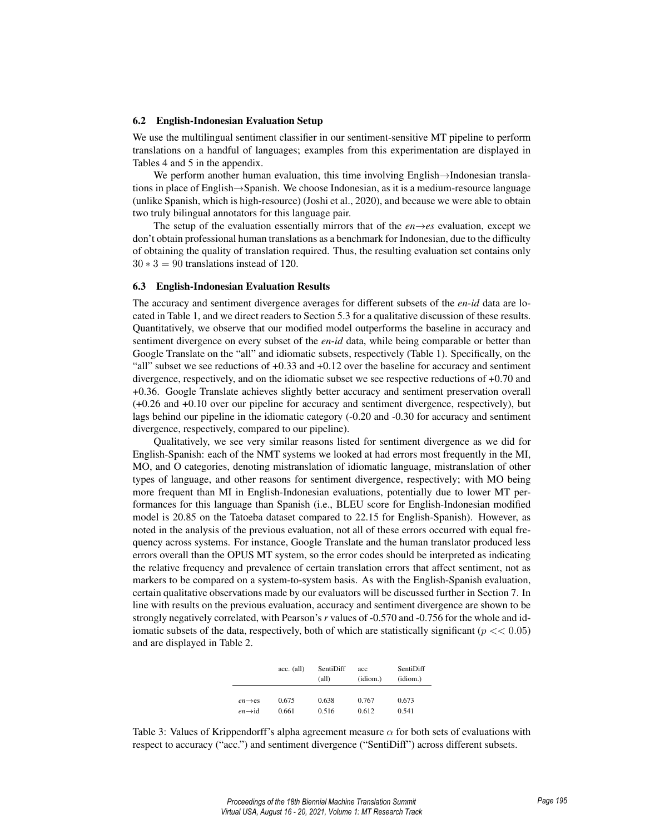#### 6.2 English-Indonesian Evaluation Setup

We use the multilingual sentiment classifier in our sentiment-sensitive MT pipeline to perform translations on a handful of languages; examples from this experimentation are displayed in Tables 4 and 5 in the appendix.

We perform another human evaluation, this time involving English→Indonesian translations in place of English→Spanish. We choose Indonesian, as it is a medium-resource language (unlike Spanish, which is high-resource) (Joshi et al., 2020), and because we were able to obtain two truly bilingual annotators for this language pair.

The setup of the evaluation essentially mirrors that of the  $en \rightarrow es$  evaluation, except we don't obtain professional human translations as a benchmark for Indonesian, due to the difficulty of obtaining the quality of translation required. Thus, the resulting evaluation set contains only  $30 * 3 = 90$  translations instead of 120.

#### 6.3 English-Indonesian Evaluation Results

The accuracy and sentiment divergence averages for different subsets of the *en*-*id* data are located in Table 1, and we direct readers to Section 5.3 for a qualitative discussion of these results. Quantitatively, we observe that our modified model outperforms the baseline in accuracy and sentiment divergence on every subset of the *en*-*id* data, while being comparable or better than Google Translate on the "all" and idiomatic subsets, respectively (Table 1). Specifically, on the "all" subset we see reductions of +0.33 and +0.12 over the baseline for accuracy and sentiment divergence, respectively, and on the idiomatic subset we see respective reductions of +0.70 and +0.36. Google Translate achieves slightly better accuracy and sentiment preservation overall (+0.26 and +0.10 over our pipeline for accuracy and sentiment divergence, respectively), but lags behind our pipeline in the idiomatic category (-0.20 and -0.30 for accuracy and sentiment divergence, respectively, compared to our pipeline).

Qualitatively, we see very similar reasons listed for sentiment divergence as we did for English-Spanish: each of the NMT systems we looked at had errors most frequently in the MI, MO, and O categories, denoting mistranslation of idiomatic language, mistranslation of other types of language, and other reasons for sentiment divergence, respectively; with MO being more frequent than MI in English-Indonesian evaluations, potentially due to lower MT performances for this language than Spanish (i.e., BLEU score for English-Indonesian modified model is 20.85 on the Tatoeba dataset compared to 22.15 for English-Spanish). However, as noted in the analysis of the previous evaluation, not all of these errors occurred with equal frequency across systems. For instance, Google Translate and the human translator produced less errors overall than the OPUS MT system, so the error codes should be interpreted as indicating the relative frequency and prevalence of certain translation errors that affect sentiment, not as markers to be compared on a system-to-system basis. As with the English-Spanish evaluation, certain qualitative observations made by our evaluators will be discussed further in Section 7. In line with results on the previous evaluation, accuracy and sentiment divergence are shown to be strongly negatively correlated, with Pearson's*r* values of -0.570 and -0.756 for the whole and idiomatic subsets of the data, respectively, both of which are statistically significant ( $p \ll 0.05$ ) and are displayed in Table 2.

|                     | $acc.$ (all) | SentiDiff | acc      | SentiDiff |
|---------------------|--------------|-----------|----------|-----------|
|                     |              | (all)     | (idiom.) | (idiom.)  |
|                     |              |           |          |           |
| $en \rightarrow es$ | 0.675        | 0.638     | 0.767    | 0.673     |
| $en \rightarrow id$ | 0.661        | 0.516     | 0.612    | 0.541     |

Table 3: Values of Krippendorff's alpha agreement measure  $\alpha$  for both sets of evaluations with respect to accuracy ("acc.") and sentiment divergence ("SentiDiff") across different subsets.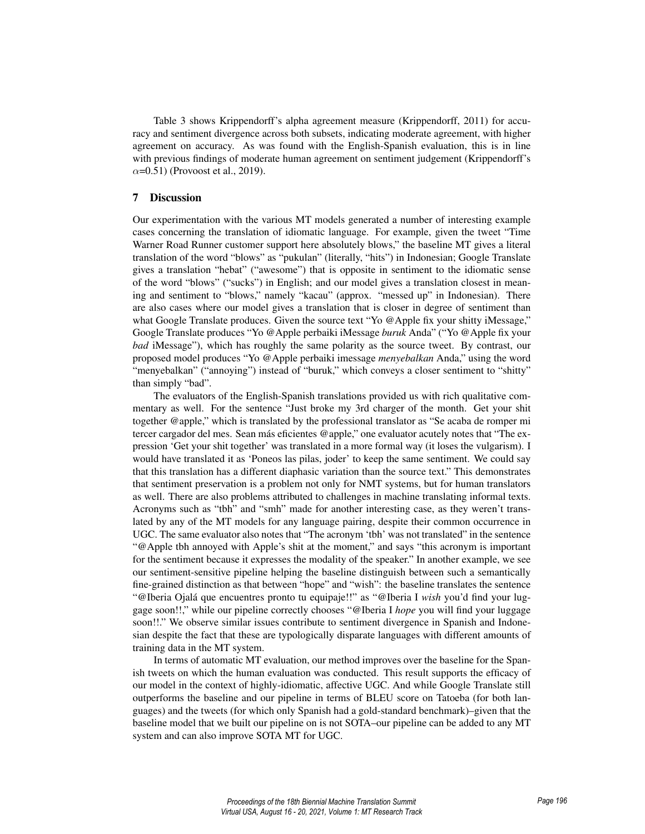Table 3 shows Krippendorff's alpha agreement measure (Krippendorff, 2011) for accuracy and sentiment divergence across both subsets, indicating moderate agreement, with higher agreement on accuracy. As was found with the English-Spanish evaluation, this is in line with previous findings of moderate human agreement on sentiment judgement (Krippendorff's  $\alpha$ =0.51) (Provoost et al., 2019).

## 7 Discussion

Our experimentation with the various MT models generated a number of interesting example cases concerning the translation of idiomatic language. For example, given the tweet "Time Warner Road Runner customer support here absolutely blows," the baseline MT gives a literal translation of the word "blows" as "pukulan" (literally, "hits") in Indonesian; Google Translate gives a translation "hebat" ("awesome") that is opposite in sentiment to the idiomatic sense of the word "blows" ("sucks") in English; and our model gives a translation closest in meaning and sentiment to "blows," namely "kacau" (approx. "messed up" in Indonesian). There are also cases where our model gives a translation that is closer in degree of sentiment than what Google Translate produces. Given the source text "Yo @Apple fix your shitty iMessage," Google Translate produces "Yo @Apple perbaiki iMessage *buruk* Anda" ("Yo @Apple fix your *bad* iMessage"), which has roughly the same polarity as the source tweet. By contrast, our proposed model produces "Yo @Apple perbaiki imessage *menyebalkan* Anda," using the word "menyebalkan" ("annoying") instead of "buruk," which conveys a closer sentiment to "shitty" than simply "bad".

The evaluators of the English-Spanish translations provided us with rich qualitative commentary as well. For the sentence "Just broke my 3rd charger of the month. Get your shit together @apple," which is translated by the professional translator as "Se acaba de romper mi tercer cargador del mes. Sean más eficientes @apple," one evaluator acutely notes that "The expression 'Get your shit together' was translated in a more formal way (it loses the vulgarism). I would have translated it as 'Poneos las pilas, joder' to keep the same sentiment. We could say that this translation has a different diaphasic variation than the source text." This demonstrates that sentiment preservation is a problem not only for NMT systems, but for human translators as well. There are also problems attributed to challenges in machine translating informal texts. Acronyms such as "tbh" and "smh" made for another interesting case, as they weren't translated by any of the MT models for any language pairing, despite their common occurrence in UGC. The same evaluator also notes that "The acronym 'tbh' was not translated" in the sentence "@Apple tbh annoyed with Apple's shit at the moment," and says "this acronym is important for the sentiment because it expresses the modality of the speaker." In another example, we see our sentiment-sensitive pipeline helping the baseline distinguish between such a semantically fine-grained distinction as that between "hope" and "wish": the baseline translates the sentence "@Iberia Ojalá que encuentres pronto tu equipaje!!" as "@Iberia I *wish* you'd find your luggage soon!!," while our pipeline correctly chooses "@Iberia I *hope* you will find your luggage soon!!." We observe similar issues contribute to sentiment divergence in Spanish and Indonesian despite the fact that these are typologically disparate languages with different amounts of training data in the MT system.

In terms of automatic MT evaluation, our method improves over the baseline for the Spanish tweets on which the human evaluation was conducted. This result supports the efficacy of our model in the context of highly-idiomatic, affective UGC. And while Google Translate still outperforms the baseline and our pipeline in terms of BLEU score on Tatoeba (for both languages) and the tweets (for which only Spanish had a gold-standard benchmark)–given that the baseline model that we built our pipeline on is not SOTA–our pipeline can be added to any MT system and can also improve SOTA MT for UGC.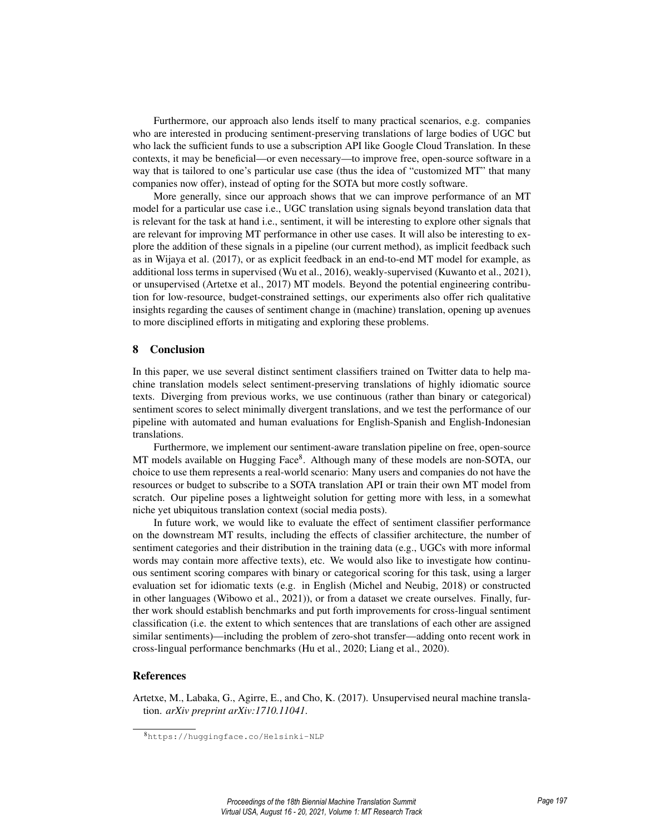Furthermore, our approach also lends itself to many practical scenarios, e.g. companies who are interested in producing sentiment-preserving translations of large bodies of UGC but who lack the sufficient funds to use a subscription API like Google Cloud Translation. In these contexts, it may be beneficial—or even necessary—to improve free, open-source software in a way that is tailored to one's particular use case (thus the idea of "customized MT" that many companies now offer), instead of opting for the SOTA but more costly software.

More generally, since our approach shows that we can improve performance of an MT model for a particular use case i.e., UGC translation using signals beyond translation data that is relevant for the task at hand i.e., sentiment, it will be interesting to explore other signals that are relevant for improving MT performance in other use cases. It will also be interesting to explore the addition of these signals in a pipeline (our current method), as implicit feedback such as in Wijaya et al. (2017), or as explicit feedback in an end-to-end MT model for example, as additional loss terms in supervised (Wu et al., 2016), weakly-supervised (Kuwanto et al., 2021), or unsupervised (Artetxe et al., 2017) MT models. Beyond the potential engineering contribution for low-resource, budget-constrained settings, our experiments also offer rich qualitative insights regarding the causes of sentiment change in (machine) translation, opening up avenues to more disciplined efforts in mitigating and exploring these problems.

## 8 Conclusion

In this paper, we use several distinct sentiment classifiers trained on Twitter data to help machine translation models select sentiment-preserving translations of highly idiomatic source texts. Diverging from previous works, we use continuous (rather than binary or categorical) sentiment scores to select minimally divergent translations, and we test the performance of our pipeline with automated and human evaluations for English-Spanish and English-Indonesian translations.

Furthermore, we implement our sentiment-aware translation pipeline on free, open-source MT models available on Hugging Face<sup>8</sup>. Although many of these models are non-SOTA, our choice to use them represents a real-world scenario: Many users and companies do not have the resources or budget to subscribe to a SOTA translation API or train their own MT model from scratch. Our pipeline poses a lightweight solution for getting more with less, in a somewhat niche yet ubiquitous translation context (social media posts).

In future work, we would like to evaluate the effect of sentiment classifier performance on the downstream MT results, including the effects of classifier architecture, the number of sentiment categories and their distribution in the training data (e.g., UGCs with more informal words may contain more affective texts), etc. We would also like to investigate how continuous sentiment scoring compares with binary or categorical scoring for this task, using a larger evaluation set for idiomatic texts (e.g. in English (Michel and Neubig, 2018) or constructed in other languages (Wibowo et al., 2021)), or from a dataset we create ourselves. Finally, further work should establish benchmarks and put forth improvements for cross-lingual sentiment classification (i.e. the extent to which sentences that are translations of each other are assigned similar sentiments)—including the problem of zero-shot transfer—adding onto recent work in cross-lingual performance benchmarks (Hu et al., 2020; Liang et al., 2020).

# References

Artetxe, M., Labaka, G., Agirre, E., and Cho, K. (2017). Unsupervised neural machine translation. *arXiv preprint arXiv:1710.11041*.

<sup>8</sup>https://huggingface.co/Helsinki-NLP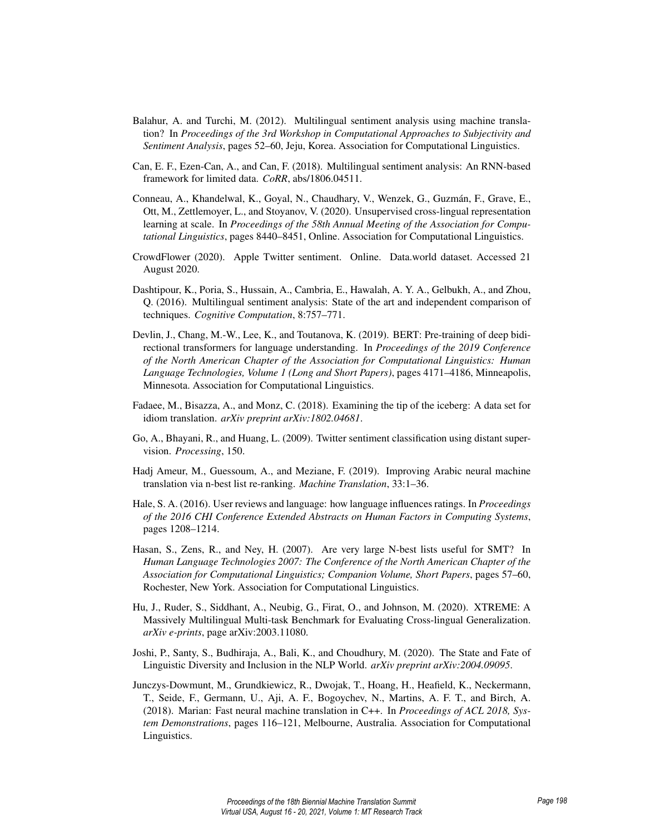- Balahur, A. and Turchi, M. (2012). Multilingual sentiment analysis using machine translation? In *Proceedings of the 3rd Workshop in Computational Approaches to Subjectivity and Sentiment Analysis*, pages 52–60, Jeju, Korea. Association for Computational Linguistics.
- Can, E. F., Ezen-Can, A., and Can, F. (2018). Multilingual sentiment analysis: An RNN-based framework for limited data. *CoRR*, abs/1806.04511.
- Conneau, A., Khandelwal, K., Goyal, N., Chaudhary, V., Wenzek, G., Guzmán, F., Grave, E., Ott, M., Zettlemoyer, L., and Stoyanov, V. (2020). Unsupervised cross-lingual representation learning at scale. In *Proceedings of the 58th Annual Meeting of the Association for Computational Linguistics*, pages 8440–8451, Online. Association for Computational Linguistics.
- CrowdFlower (2020). Apple Twitter sentiment. Online. Data.world dataset. Accessed 21 August 2020.
- Dashtipour, K., Poria, S., Hussain, A., Cambria, E., Hawalah, A. Y. A., Gelbukh, A., and Zhou, Q. (2016). Multilingual sentiment analysis: State of the art and independent comparison of techniques. *Cognitive Computation*, 8:757–771.
- Devlin, J., Chang, M.-W., Lee, K., and Toutanova, K. (2019). BERT: Pre-training of deep bidirectional transformers for language understanding. In *Proceedings of the 2019 Conference of the North American Chapter of the Association for Computational Linguistics: Human Language Technologies, Volume 1 (Long and Short Papers)*, pages 4171–4186, Minneapolis, Minnesota. Association for Computational Linguistics.
- Fadaee, M., Bisazza, A., and Monz, C. (2018). Examining the tip of the iceberg: A data set for idiom translation. *arXiv preprint arXiv:1802.04681*.
- Go, A., Bhayani, R., and Huang, L. (2009). Twitter sentiment classification using distant supervision. *Processing*, 150.
- Hadj Ameur, M., Guessoum, A., and Meziane, F. (2019). Improving Arabic neural machine translation via n-best list re-ranking. *Machine Translation*, 33:1–36.
- Hale, S. A. (2016). User reviews and language: how language influences ratings. In *Proceedings of the 2016 CHI Conference Extended Abstracts on Human Factors in Computing Systems*, pages 1208–1214.
- Hasan, S., Zens, R., and Ney, H. (2007). Are very large N-best lists useful for SMT? In *Human Language Technologies 2007: The Conference of the North American Chapter of the Association for Computational Linguistics; Companion Volume, Short Papers*, pages 57–60, Rochester, New York. Association for Computational Linguistics.
- Hu, J., Ruder, S., Siddhant, A., Neubig, G., Firat, O., and Johnson, M. (2020). XTREME: A Massively Multilingual Multi-task Benchmark for Evaluating Cross-lingual Generalization. *arXiv e-prints*, page arXiv:2003.11080.
- Joshi, P., Santy, S., Budhiraja, A., Bali, K., and Choudhury, M. (2020). The State and Fate of Linguistic Diversity and Inclusion in the NLP World. *arXiv preprint arXiv:2004.09095*.
- Junczys-Dowmunt, M., Grundkiewicz, R., Dwojak, T., Hoang, H., Heafield, K., Neckermann, T., Seide, F., Germann, U., Aji, A. F., Bogoychev, N., Martins, A. F. T., and Birch, A. (2018). Marian: Fast neural machine translation in C++. In *Proceedings of ACL 2018, System Demonstrations*, pages 116–121, Melbourne, Australia. Association for Computational Linguistics.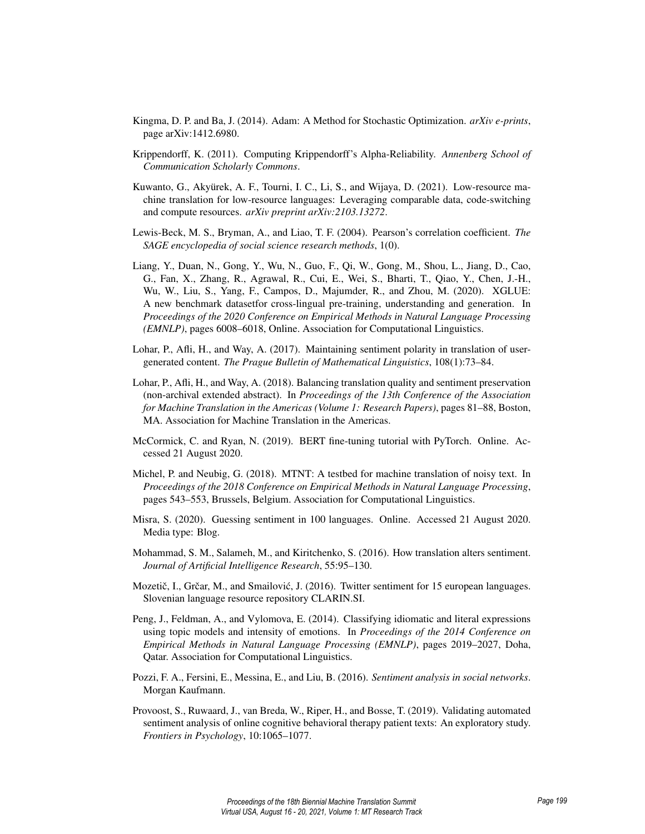- Kingma, D. P. and Ba, J. (2014). Adam: A Method for Stochastic Optimization. *arXiv e-prints*, page arXiv:1412.6980.
- Krippendorff, K. (2011). Computing Krippendorff's Alpha-Reliability. *Annenberg School of Communication Scholarly Commons*.
- Kuwanto, G., Akyürek, A. F., Tourni, I. C., Li, S., and Wijaya, D. (2021). Low-resource machine translation for low-resource languages: Leveraging comparable data, code-switching and compute resources. *arXiv preprint arXiv:2103.13272*.
- Lewis-Beck, M. S., Bryman, A., and Liao, T. F. (2004). Pearson's correlation coefficient. *The SAGE encyclopedia of social science research methods*, 1(0).
- Liang, Y., Duan, N., Gong, Y., Wu, N., Guo, F., Qi, W., Gong, M., Shou, L., Jiang, D., Cao, G., Fan, X., Zhang, R., Agrawal, R., Cui, E., Wei, S., Bharti, T., Qiao, Y., Chen, J.-H., Wu, W., Liu, S., Yang, F., Campos, D., Majumder, R., and Zhou, M. (2020). XGLUE: A new benchmark datasetfor cross-lingual pre-training, understanding and generation. In *Proceedings of the 2020 Conference on Empirical Methods in Natural Language Processing (EMNLP)*, pages 6008–6018, Online. Association for Computational Linguistics.
- Lohar, P., Afli, H., and Way, A. (2017). Maintaining sentiment polarity in translation of usergenerated content. *The Prague Bulletin of Mathematical Linguistics*, 108(1):73–84.
- Lohar, P., Afli, H., and Way, A. (2018). Balancing translation quality and sentiment preservation (non-archival extended abstract). In *Proceedings of the 13th Conference of the Association for Machine Translation in the Americas (Volume 1: Research Papers)*, pages 81–88, Boston, MA. Association for Machine Translation in the Americas.
- McCormick, C. and Ryan, N. (2019). BERT fine-tuning tutorial with PyTorch. Online. Accessed 21 August 2020.
- Michel, P. and Neubig, G. (2018). MTNT: A testbed for machine translation of noisy text. In *Proceedings of the 2018 Conference on Empirical Methods in Natural Language Processing*, pages 543–553, Brussels, Belgium. Association for Computational Linguistics.
- Misra, S. (2020). Guessing sentiment in 100 languages. Online. Accessed 21 August 2020. Media type: Blog.
- Mohammad, S. M., Salameh, M., and Kiritchenko, S. (2016). How translation alters sentiment. *Journal of Artificial Intelligence Research*, 55:95–130.
- Mozetič, I., Grčar, M., and Smailović, J. (2016). Twitter sentiment for 15 european languages. Slovenian language resource repository CLARIN.SI.
- Peng, J., Feldman, A., and Vylomova, E. (2014). Classifying idiomatic and literal expressions using topic models and intensity of emotions. In *Proceedings of the 2014 Conference on Empirical Methods in Natural Language Processing (EMNLP)*, pages 2019–2027, Doha, Qatar. Association for Computational Linguistics.
- Pozzi, F. A., Fersini, E., Messina, E., and Liu, B. (2016). *Sentiment analysis in social networks*. Morgan Kaufmann.
- Provoost, S., Ruwaard, J., van Breda, W., Riper, H., and Bosse, T. (2019). Validating automated sentiment analysis of online cognitive behavioral therapy patient texts: An exploratory study. *Frontiers in Psychology*, 10:1065–1077.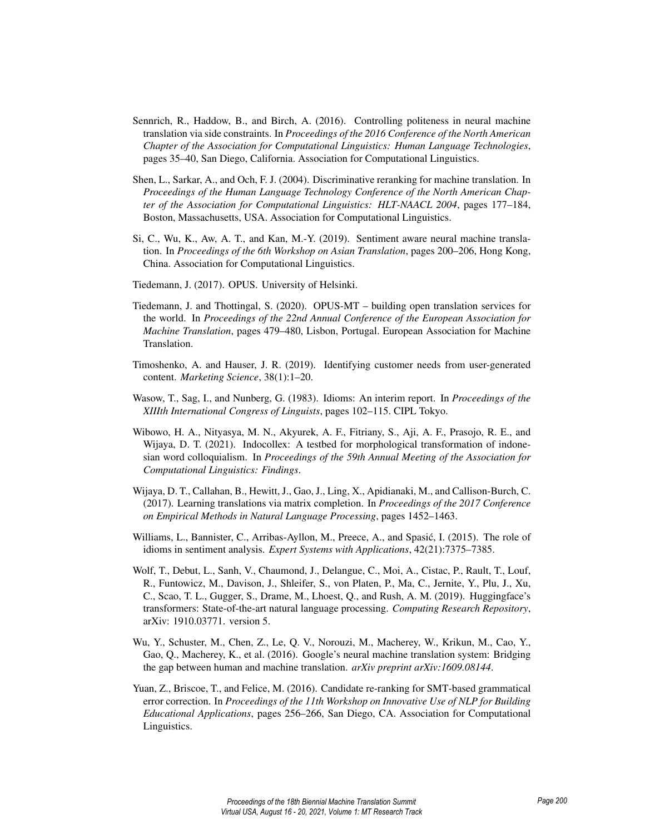- Sennrich, R., Haddow, B., and Birch, A. (2016). Controlling politeness in neural machine translation via side constraints. In *Proceedings of the 2016 Conference of the North American Chapter of the Association for Computational Linguistics: Human Language Technologies*, pages 35–40, San Diego, California. Association for Computational Linguistics.
- Shen, L., Sarkar, A., and Och, F. J. (2004). Discriminative reranking for machine translation. In *Proceedings of the Human Language Technology Conference of the North American Chapter of the Association for Computational Linguistics: HLT-NAACL 2004*, pages 177–184, Boston, Massachusetts, USA. Association for Computational Linguistics.
- Si, C., Wu, K., Aw, A. T., and Kan, M.-Y. (2019). Sentiment aware neural machine translation. In *Proceedings of the 6th Workshop on Asian Translation*, pages 200–206, Hong Kong, China. Association for Computational Linguistics.
- Tiedemann, J. (2017). OPUS. University of Helsinki.
- Tiedemann, J. and Thottingal, S. (2020). OPUS-MT building open translation services for the world. In *Proceedings of the 22nd Annual Conference of the European Association for Machine Translation*, pages 479–480, Lisbon, Portugal. European Association for Machine Translation.
- Timoshenko, A. and Hauser, J. R. (2019). Identifying customer needs from user-generated content. *Marketing Science*, 38(1):1–20.
- Wasow, T., Sag, I., and Nunberg, G. (1983). Idioms: An interim report. In *Proceedings of the XIIIth International Congress of Linguists*, pages 102–115. CIPL Tokyo.
- Wibowo, H. A., Nityasya, M. N., Akyurek, A. F., Fitriany, S., Aji, A. F., Prasojo, R. E., and Wijaya, D. T. (2021). Indocollex: A testbed for morphological transformation of indonesian word colloquialism. In *Proceedings of the 59th Annual Meeting of the Association for Computational Linguistics: Findings*.
- Wijaya, D. T., Callahan, B., Hewitt, J., Gao, J., Ling, X., Apidianaki, M., and Callison-Burch, C. (2017). Learning translations via matrix completion. In *Proceedings of the 2017 Conference on Empirical Methods in Natural Language Processing*, pages 1452–1463.
- Williams, L., Bannister, C., Arribas-Ayllon, M., Preece, A., and Spasic, I. (2015). The role of ´ idioms in sentiment analysis. *Expert Systems with Applications*, 42(21):7375–7385.
- Wolf, T., Debut, L., Sanh, V., Chaumond, J., Delangue, C., Moi, A., Cistac, P., Rault, T., Louf, R., Funtowicz, M., Davison, J., Shleifer, S., von Platen, P., Ma, C., Jernite, Y., Plu, J., Xu, C., Scao, T. L., Gugger, S., Drame, M., Lhoest, Q., and Rush, A. M. (2019). Huggingface's transformers: State-of-the-art natural language processing. *Computing Research Repository*, arXiv: 1910.03771. version 5.
- Wu, Y., Schuster, M., Chen, Z., Le, Q. V., Norouzi, M., Macherey, W., Krikun, M., Cao, Y., Gao, Q., Macherey, K., et al. (2016). Google's neural machine translation system: Bridging the gap between human and machine translation. *arXiv preprint arXiv:1609.08144*.
- Yuan, Z., Briscoe, T., and Felice, M. (2016). Candidate re-ranking for SMT-based grammatical error correction. In *Proceedings of the 11th Workshop on Innovative Use of NLP for Building Educational Applications*, pages 256–266, San Diego, CA. Association for Computational Linguistics.